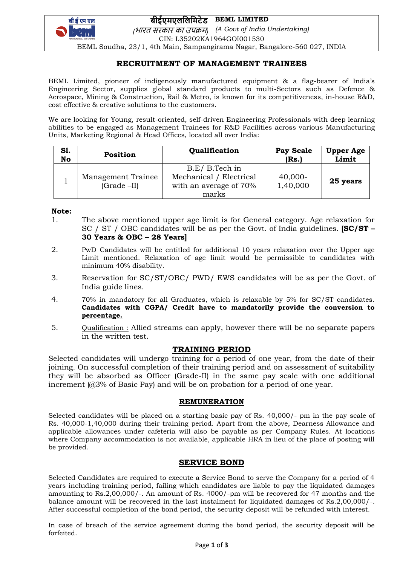**बीईएमएललललमटेड BEML LIMITED**



*(*भारत सरकार का उपक्रम*) (A Govt of India Undertaking)* CIN: L35202KA1964GOI001530

BEML Soudha, 23/1, 4th Main, Sampangirama Nagar, Bangalore-560 027, INDIA

# **RECRUITMENT OF MANAGEMENT TRAINEES**

BEML Limited, pioneer of indigenously manufactured equipment & a flag-bearer of India's Engineering Sector, supplies global standard products to multi-Sectors such as Defence & Aerospace, Mining & Construction, Rail & Metro, is known for its competitiveness, in-house R&D, cost effective & creative solutions to the customers.

We are looking for Young, result-oriented, self-driven Engineering Professionals with deep learning abilities to be engaged as Management Trainees for R&D Facilities across various Manufacturing Units, Marketing Regional & Head Offices, located all over India:

| S1.<br>No | Position                             | Qualification                                                                | Pay Scale<br>(Rs.)    | <b>Upper Age</b><br>Limit |
|-----------|--------------------------------------|------------------------------------------------------------------------------|-----------------------|---------------------------|
|           | Management Trainee<br>$(Grade - II)$ | B.E/ B.Tech in<br>Mechanical / Electrical<br>with an average of 70%<br>marks | $40,000-$<br>1,40,000 | 25 years                  |

### **Note:**

- 1. The above mentioned upper age limit is for General category. Age relaxation for SC / ST / OBC candidates will be as per the Govt. of India guidelines. **[SC/ST – 30 Years & OBC – 28 Years]**
- 2. PwD Candidates will be entitled for additional 10 years relaxation over the Upper age Limit mentioned. Relaxation of age limit would be permissible to candidates with minimum 40% disability.
- 3. Reservation for SC/ST/OBC/ PWD/ EWS candidates will be as per the Govt. of India guide lines.
- 4. 70% in mandatory for all Graduates, which is relaxable by 5% for SC/ST candidates. **Candidates with CGPA/ Credit have to mandatorily provide the conversion to percentage.**
- 5. Qualification : Allied streams can apply, however there will be no separate papers in the written test.

## **TRAINING PERIOD**

Selected candidates will undergo training for a period of one year, from the date of their joining. On successful completion of their training period and on assessment of suitability they will be absorbed as Officer (Grade-II) in the same pay scale with one additional increment (@3% of Basic Pay) and will be on probation for a period of one year.

## **REMUNERATION**

Selected candidates will be placed on a starting basic pay of Rs. 40,000/- pm in the pay scale of Rs. 40,000-1,40,000 during their training period. Apart from the above, Dearness Allowance and applicable allowances under cafeteria will also be payable as per Company Rules. At locations where Company accommodation is not available, applicable HRA in lieu of the place of posting will be provided.

# **SERVICE BOND**

Selected Candidates are required to execute a Service Bond to serve the Company for a period of 4 years including training period, failing which candidates are liable to pay the liquidated damages amounting to Rs.2,00,000/-. An amount of Rs. 4000/-pm will be recovered for 47 months and the balance amount will be recovered in the last instalment for liquidated damages of Rs.2,00,000/-. After successful completion of the bond period, the security deposit will be refunded with interest.

In case of breach of the service agreement during the bond period, the security deposit will be forfeited.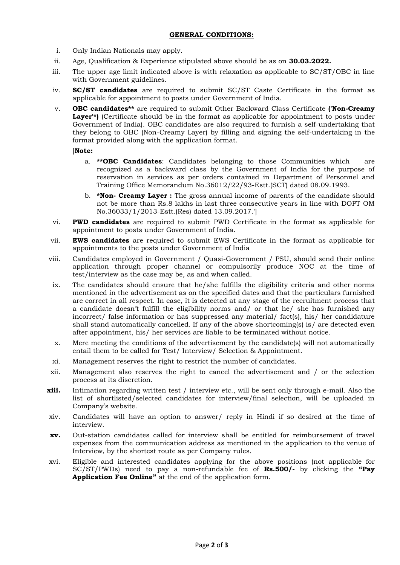## **GENERAL CONDITIONS:**

- i. Only Indian Nationals may apply.
- ii. Age, Qualification & Experience stipulated above should be as on **30.03.2022.**
- iii. The upper age limit indicated above is with relaxation as applicable to SC/ST/OBC in line with Government guidelines.
- iv. **SC/ST candidates** are required to submit SC/ST Caste Certificate in the format as applicable for appointment to posts under Government of India.
- v. **OBC candidates\*\*** are required to submit Other Backward Class Certificate **('Non-Creamy**  Laver<sup>'\*</sup>) (Certificate should be in the format as applicable for appointment to posts under Government of India). OBC candidates are also required to furnish a self-undertaking that they belong to OBC (Non-Creamy Layer) by filling and signing the self-undertaking in the format provided along with the application format.

[**Note:**

- a. **\*\*OBC Candidates**: Candidates belonging to those Communities which are recognized as a backward class by the Government of India for the purpose of reservation in services as per orders contained in Department of Personnel and Training Office Memorandum No.36012/22/93-Estt.(SCT) dated 08.09.1993.
- b. **\*Non- Creamy Layer :** The gross annual income of parents of the candidate should not be more than Rs.8 lakhs in last three consecutive years in line with DOPT OM No.36033/1/2013-Estt.(Res) dated 13.09.2017.']
- vi. **PWD candidates** are required to submit PWD Certificate in the format as applicable for appointment to posts under Government of India.
- vii. **EWS candidates** are required to submit EWS Certificate in the format as applicable for appointments to the posts under Government of India
- viii. Candidates employed in Government / Quasi-Government / PSU, should send their online application through proper channel or compulsorily produce NOC at the time of test/interview as the case may be, as and when called.
- ix. The candidates should ensure that he/she fulfills the eligibility criteria and other norms mentioned in the advertisement as on the specified dates and that the particulars furnished are correct in all respect. In case, it is detected at any stage of the recruitment process that a candidate doesn't fulfill the eligibility norms and/ or that he/ she has furnished any incorrect/ false information or has suppressed any material/ fact(s), his/ her candidature shall stand automatically cancelled. If any of the above shortcoming(s) is/ are detected even after appointment, his/ her services are liable to be terminated without notice.
- x. Mere meeting the conditions of the advertisement by the candidate(s) will not automatically entail them to be called for Test/ Interview/ Selection & Appointment.
- xi. Management reserves the right to restrict the number of candidates.
- xii. Management also reserves the right to cancel the advertisement and / or the selection process at its discretion.
- **xiii.** Intimation regarding written test / interview etc., will be sent only through e-mail. Also the list of shortlisted/selected candidates for interview/final selection, will be uploaded in Company's website.
- xiv. Candidates will have an option to answer/ reply in Hindi if so desired at the time of interview.
- **xv.** Out-station candidates called for interview shall be entitled for reimbursement of travel expenses from the communication address as mentioned in the application to the venue of Interview, by the shortest route as per Company rules.
- xvi. Eligible and interested candidates applying for the above positions (not applicable for SC/ST/PWDs) need to pay a non-refundable fee of **Rs.500/-** by clicking the **"Pay Application Fee Online"** at the end of the application form.